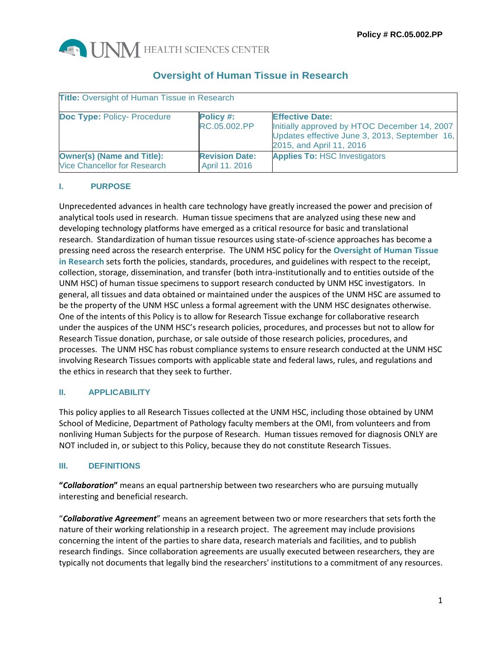

# **Oversight of Human Tissue in Research**

| <b>Title:</b> Oversight of Human Tissue in Research                      |                                         |                                                                                                                                                     |  |  |  |
|--------------------------------------------------------------------------|-----------------------------------------|-----------------------------------------------------------------------------------------------------------------------------------------------------|--|--|--|
| <b>Doc Type: Policy- Procedure</b>                                       | Policy #:<br>RC.05.002.PP               | <b>Effective Date:</b><br>Initially approved by HTOC December 14, 2007<br>Updates effective June 3, 2013, September 16,<br>2015, and April 11, 2016 |  |  |  |
| <b>Owner(s) (Name and Title):</b><br><b>Vice Chancellor for Research</b> | <b>Revision Date:</b><br>April 11. 2016 | <b>Applies To: HSC Investigators</b>                                                                                                                |  |  |  |

# **I. PURPOSE**

Unprecedented advances in health care technology have greatly increased the power and precision of analytical tools used in research. Human tissue specimens that are analyzed using these new and developing technology platforms have emerged as a critical resource for basic and translational research. Standardization of human tissue resources using state-of-science approaches has become a pressing need across the research enterprise. The UNM HSC policy for the **Oversight of Human Tissue in Research** sets forth the policies, standards, procedures, and guidelines with respect to the receipt, collection, storage, dissemination, and transfer (both intra-institutionally and to entities outside of the UNM HSC) of human tissue specimens to support research conducted by UNM HSC investigators. In general, all tissues and data obtained or maintained under the auspices of the UNM HSC are assumed to be the property of the UNM HSC unless a formal agreement with the UNM HSC designates otherwise. One of the intents of this Policy is to allow for Research Tissue exchange for collaborative research under the auspices of the UNM HSC's research policies, procedures, and processes but not to allow for Research Tissue donation, purchase, or sale outside of those research policies, procedures, and processes. The UNM HSC has robust compliance systems to ensure research conducted at the UNM HSC involving Research Tissues comports with applicable state and federal laws, rules, and regulations and the ethics in research that they seek to further.

# **II. APPLICABILITY**

This policy applies to all Research Tissues collected at the UNM HSC, including those obtained by UNM School of Medicine, Department of Pathology faculty members at the OMI, from volunteers and from nonliving Human Subjects for the purpose of Research. Human tissues removed for diagnosis ONLY are NOT included in, or subject to this Policy, because they do not constitute Research Tissues.

# **III. DEFINITIONS**

**"***Collaboration***"** means an equal partnership between two researchers who are pursuing mutually interesting and beneficial research.

"*Collaborative Agreement*" means an agreement between two or more researchers that sets forth the nature of their working relationship in a research project. The agreement may include provisions concerning the intent of the parties to share data, research materials and facilities, and to publish research findings. Since collaboration agreements are usually executed between researchers, they are typically not documents that legally bind the researchers' institutions to a commitment of any resources.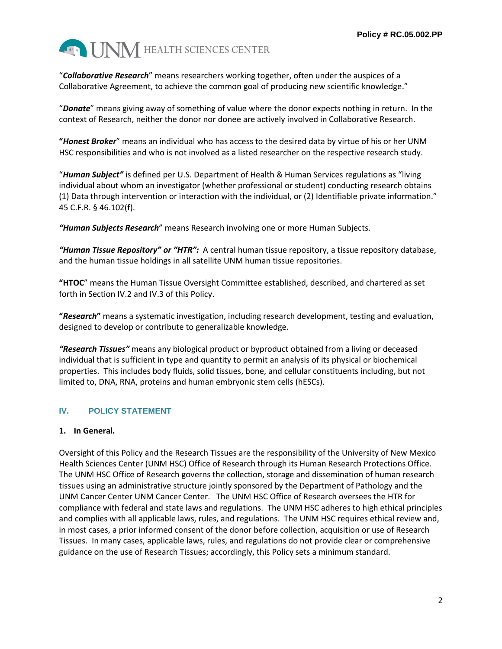

"*Collaborative Research*" means researchers working together, often under the auspices of a Collaborative Agreement, to achieve the common goal of producing new scientific knowledge."

"*Donate*" means giving away of something of value where the donor expects nothing in return. In the context of Research, neither the donor nor donee are actively involved in Collaborative Research.

**"***Honest Broker*" means an individual who has access to the desired data by virtue of his or her UNM HSC responsibilities and who is not involved as a listed researcher on the respective research study.

"*Human Subject"* is defined per U.S. Department of Health & Human Services regulations as "living individual about whom an investigator (whether professional or student) conducting research obtains (1) Data through intervention or interaction with the individual, or (2) Identifiable private information." 45 C.F.R. § 46.102(f).

*"Human Subjects Research*" means Research involving one or more Human Subjects.

*"Human Tissue Repository" or "HTR":* A central human tissue repository, a tissue repository database, and the human tissue holdings in all satellite UNM human tissue repositories.

**"HTOC**" means the Human Tissue Oversight Committee established, described, and chartered as set forth in Section IV.2 and IV.3 of this Policy.

**"***Research***"** means a systematic investigation, including research development, testing and evaluation, designed to develop or contribute to generalizable knowledge.

*"Research Tissues"* means any biological product or byproduct obtained from a living or deceased individual that is sufficient in type and quantity to permit an analysis of its physical or biochemical properties. This includes body fluids, solid tissues, bone, and cellular constituents including, but not limited to, DNA, RNA, proteins and human embryonic stem cells (hESCs).

# **IV. POLICY STATEMENT**

### **1. In General.**

Oversight of this Policy and the Research Tissues are the responsibility of the University of New Mexico Health Sciences Center (UNM HSC) Office of Research through its Human Research Protections Office. The UNM HSC Office of Research governs the collection, storage and dissemination of human research tissues using an administrative structure jointly sponsored by the Department of Pathology and the UNM Cancer Center UNM Cancer Center. The UNM HSC Office of Research oversees the HTR for compliance with federal and state laws and regulations. The UNM HSC adheres to high ethical principles and complies with all applicable laws, rules, and regulations. The UNM HSC requires ethical review and, in most cases, a prior informed consent of the donor before collection, acquisition or use of Research Tissues. In many cases, applicable laws, rules, and regulations do not provide clear or comprehensive guidance on the use of Research Tissues; accordingly, this Policy sets a minimum standard.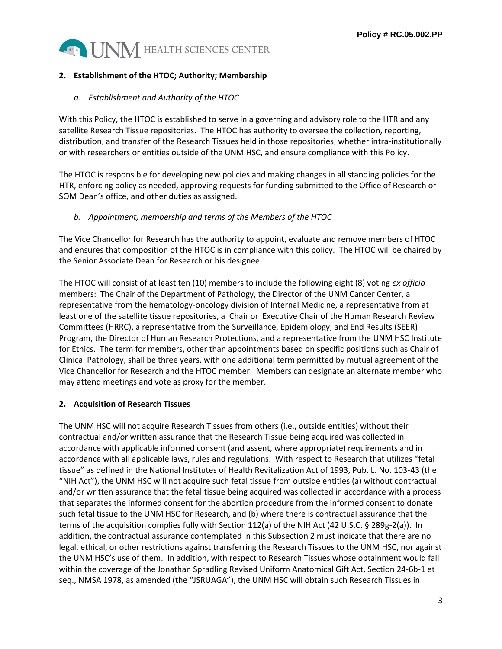

## **2. Establishment of the HTOC; Authority; Membership**

### *a. Establishment and Authority of the HTOC*

With this Policy, the HTOC is established to serve in a governing and advisory role to the HTR and any satellite Research Tissue repositories. The HTOC has authority to oversee the collection, reporting, distribution, and transfer of the Research Tissues held in those repositories, whether intra-institutionally or with researchers or entities outside of the UNM HSC, and ensure compliance with this Policy.

The HTOC is responsible for developing new policies and making changes in all standing policies for the HTR, enforcing policy as needed, approving requests for funding submitted to the Office of Research or SOM Dean's office, and other duties as assigned.

### *b. Appointment, membership and terms of the Members of the HTOC*

The Vice Chancellor for Research has the authority to appoint, evaluate and remove members of HTOC and ensures that composition of the HTOC is in compliance with this policy. The HTOC will be chaired by the Senior Associate Dean for Research or his designee.

The HTOC will consist of at least ten (10) members to include the following eight (8) voting *ex officio* members: The Chair of the Department of Pathology, the Director of the UNM Cancer Center, a representative from the hematology-oncology division of Internal Medicine, a representative from at least one of the satellite tissue repositories, a Chair or Executive Chair of the Human Research Review Committees (HRRC), a representative from the Surveillance, Epidemiology, and End Results (SEER) Program, the Director of Human Research Protections, and a representative from the UNM HSC Institute for Ethics. The term for members, other than appointments based on specific positions such as Chair of Clinical Pathology, shall be three years, with one additional term permitted by mutual agreement of the Vice Chancellor for Research and the HTOC member. Members can designate an alternate member who may attend meetings and vote as proxy for the member.

# **2. Acquisition of Research Tissues**

The UNM HSC will not acquire Research Tissues from others (i.e., outside entities) without their contractual and/or written assurance that the Research Tissue being acquired was collected in accordance with applicable informed consent (and assent, where appropriate) requirements and in accordance with all applicable laws, rules and regulations. With respect to Research that utilizes "fetal tissue" as defined in the National Institutes of Health Revitalization Act of 1993, Pub. L. No. 103-43 (the "NIH Act"), the UNM HSC will not acquire such fetal tissue from outside entities (a) without contractual and/or written assurance that the fetal tissue being acquired was collected in accordance with a process that separates the informed consent for the abortion procedure from the informed consent to donate such fetal tissue to the UNM HSC for Research, and (b) where there is contractual assurance that the terms of the acquisition complies fully with Section 112(a) of the NIH Act (42 U.S.C. § 289g-2(a)). In addition, the contractual assurance contemplated in this Subsection 2 must indicate that there are no legal, ethical, or other restrictions against transferring the Research Tissues to the UNM HSC, nor against the UNM HSC's use of them. In addition, with respect to Research Tissues whose obtainment would fall within the coverage of the Jonathan Spradling Revised Uniform Anatomical Gift Act, Section 24-6b-1 et seq., NMSA 1978, as amended (the "JSRUAGA"), the UNM HSC will obtain such Research Tissues in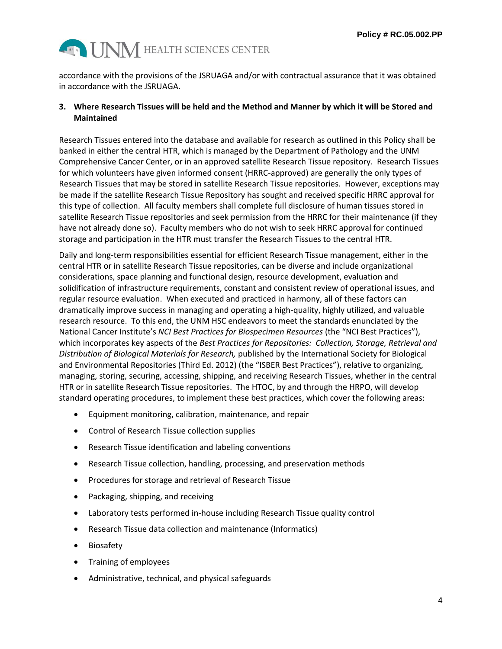

accordance with the provisions of the JSRUAGA and/or with contractual assurance that it was obtained in accordance with the JSRUAGA.

### **3. Where Research Tissues will be held and the Method and Manner by which it will be Stored and Maintained**

Research Tissues entered into the database and available for research as outlined in this Policy shall be banked in either the central HTR, which is managed by the Department of Pathology and the UNM Comprehensive Cancer Center, or in an approved satellite Research Tissue repository. Research Tissues for which volunteers have given informed consent (HRRC-approved) are generally the only types of Research Tissues that may be stored in satellite Research Tissue repositories. However, exceptions may be made if the satellite Research Tissue Repository has sought and received specific HRRC approval for this type of collection. All faculty members shall complete full disclosure of human tissues stored in satellite Research Tissue repositories and seek permission from the HRRC for their maintenance (if they have not already done so). Faculty members who do not wish to seek HRRC approval for continued storage and participation in the HTR must transfer the Research Tissues to the central HTR.

Daily and long-term responsibilities essential for efficient Research Tissue management, either in the central HTR or in satellite Research Tissue repositories, can be diverse and include organizational considerations, space planning and functional design, resource development, evaluation and solidification of infrastructure requirements, constant and consistent review of operational issues, and regular resource evaluation. When executed and practiced in harmony, all of these factors can dramatically improve success in managing and operating a high-quality, highly utilized, and valuable research resource. To this end, the UNM HSC endeavors to meet the standards enunciated by the National Cancer Institute's *NCI Best Practices for Biospecimen Resources* (the "NCI Best Practices"), which incorporates key aspects of the *Best Practices for Repositories: Collection, Storage, Retrieval and Distribution of Biological Materials for Research,* published by the International Society for Biological and Environmental Repositories (Third Ed. 2012) (the "ISBER Best Practices"), relative to organizing, managing, storing, securing, accessing, shipping, and receiving Research Tissues, whether in the central HTR or in satellite Research Tissue repositories. The HTOC, by and through the HRPO, will develop standard operating procedures, to implement these best practices, which cover the following areas:

- Equipment monitoring, calibration, maintenance, and repair
- Control of Research Tissue collection supplies
- Research Tissue identification and labeling conventions
- Research Tissue collection, handling, processing, and preservation methods
- Procedures for storage and retrieval of Research Tissue
- Packaging, shipping, and receiving
- Laboratory tests performed in-house including Research Tissue quality control
- Research Tissue data collection and maintenance (Informatics)
- Biosafety
- Training of employees
- Administrative, technical, and physical safeguards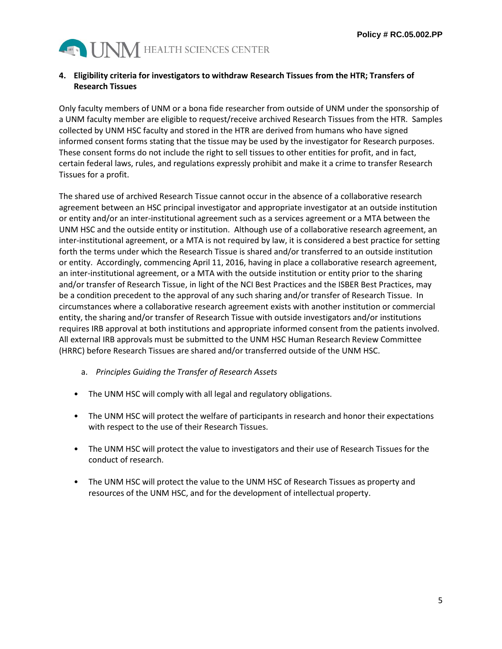

### **4. Eligibility criteria for investigators to withdraw Research Tissues from the HTR; Transfers of Research Tissues**

Only faculty members of UNM or a bona fide researcher from outside of UNM under the sponsorship of a UNM faculty member are eligible to request/receive archived Research Tissues from the HTR. Samples collected by UNM HSC faculty and stored in the HTR are derived from humans who have signed informed consent forms stating that the tissue may be used by the investigator for Research purposes. These consent forms do not include the right to sell tissues to other entities for profit, and in fact, certain federal laws, rules, and regulations expressly prohibit and make it a crime to transfer Research Tissues for a profit.

The shared use of archived Research Tissue cannot occur in the absence of a collaborative research agreement between an HSC principal investigator and appropriate investigator at an outside institution or entity and/or an inter-institutional agreement such as a services agreement or a MTA between the UNM HSC and the outside entity or institution. Although use of a collaborative research agreement, an inter-institutional agreement, or a MTA is not required by law, it is considered a best practice for setting forth the terms under which the Research Tissue is shared and/or transferred to an outside institution or entity. Accordingly, commencing April 11, 2016, having in place a collaborative research agreement, an inter-institutional agreement, or a MTA with the outside institution or entity prior to the sharing and/or transfer of Research Tissue, in light of the NCI Best Practices and the ISBER Best Practices, may be a condition precedent to the approval of any such sharing and/or transfer of Research Tissue. In circumstances where a collaborative research agreement exists with another institution or commercial entity, the sharing and/or transfer of Research Tissue with outside investigators and/or institutions requires IRB approval at both institutions and appropriate informed consent from the patients involved. All external IRB approvals must be submitted to the UNM HSC Human Research Review Committee (HRRC) before Research Tissues are shared and/or transferred outside of the UNM HSC.

- a. *Principles Guiding the Transfer of Research Assets*
- The UNM HSC will comply with all legal and regulatory obligations.
- The UNM HSC will protect the welfare of participants in research and honor their expectations with respect to the use of their Research Tissues.
- The UNM HSC will protect the value to investigators and their use of Research Tissues for the conduct of research.
- The UNM HSC will protect the value to the UNM HSC of Research Tissues as property and resources of the UNM HSC, and for the development of intellectual property.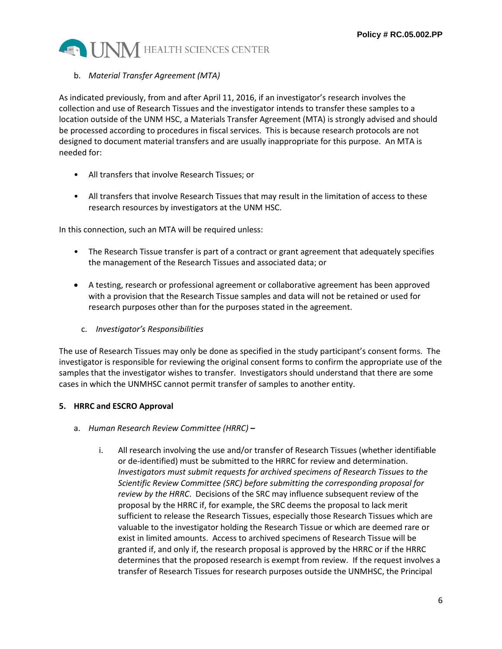

### b. *Material Transfer Agreement (MTA)*

As indicated previously, from and after April 11, 2016, if an investigator's research involves the collection and use of Research Tissues and the investigator intends to transfer these samples to a location outside of the UNM HSC, a Materials Transfer Agreement (MTA) is strongly advised and should be processed according to procedures in fiscal services. This is because research protocols are not designed to document material transfers and are usually inappropriate for this purpose. An MTA is needed for:

- All transfers that involve Research Tissues; or
- All transfers that involve Research Tissues that may result in the limitation of access to these research resources by investigators at the UNM HSC.

In this connection, such an MTA will be required unless:

- The Research Tissue transfer is part of a contract or grant agreement that adequately specifies the management of the Research Tissues and associated data; or
- A testing, research or professional agreement or collaborative agreement has been approved with a provision that the Research Tissue samples and data will not be retained or used for research purposes other than for the purposes stated in the agreement.
	- c. *Investigator's Responsibilities*

The use of Research Tissues may only be done as specified in the study participant's consent forms. The investigator is responsible for reviewing the original consent forms to confirm the appropriate use of the samples that the investigator wishes to transfer. Investigators should understand that there are some cases in which the UNMHSC cannot permit transfer of samples to another entity.

### **5. HRRC and ESCRO Approval**

- a. *Human Research Review Committee (HRRC)* **–**
	- i. All research involving the use and/or transfer of Research Tissues (whether identifiable or de-identified) must be submitted to the HRRC for review and determination. *Investigators must submit requests for archived specimens of Research Tissues to the Scientific Review Committee (SRC) before submitting the corresponding proposal for review by the HRRC*. Decisions of the SRC may influence subsequent review of the proposal by the HRRC if, for example, the SRC deems the proposal to lack merit sufficient to release the Research Tissues, especially those Research Tissues which are valuable to the investigator holding the Research Tissue or which are deemed rare or exist in limited amounts. Access to archived specimens of Research Tissue will be granted if, and only if, the research proposal is approved by the HRRC or if the HRRC determines that the proposed research is exempt from review. If the request involves a transfer of Research Tissues for research purposes outside the UNMHSC, the Principal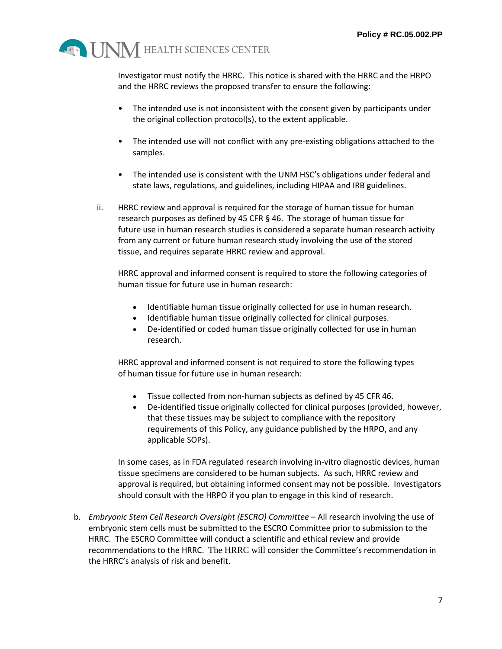

Investigator must notify the HRRC. This notice is shared with the HRRC and the HRPO and the HRRC reviews the proposed transfer to ensure the following:

- The intended use is not inconsistent with the consent given by participants under the original collection protocol(s), to the extent applicable.
- The intended use will not conflict with any pre-existing obligations attached to the samples.
- The intended use is consistent with the UNM HSC's obligations under federal and state laws, regulations, and guidelines, including HIPAA and IRB guidelines.
- ii. HRRC review and approval is required for the storage of human tissue for human research purposes as defined by 45 CFR § 46. The storage of human tissue for future use in human research studies is considered a separate human research activity from any current or future human research study involving the use of the stored tissue, and requires separate HRRC review and approval.

HRRC approval and informed consent is required to store the following categories of human tissue for future use in human research:

- Identifiable human tissue originally collected for use in human research.
- Identifiable human tissue originally collected for clinical purposes.
- De-identified or coded human tissue originally collected for use in human research.

HRRC approval and informed consent is not required to store the following types of human tissue for future use in human research:

- Tissue collected from non-human subjects as defined by 45 CFR 46.
- De-identified tissue originally collected for clinical purposes (provided, however, that these tissues may be subject to compliance with the repository requirements of this Policy, any guidance published by the HRPO, and any applicable SOPs).

In some cases, as in FDA regulated research involving in-vitro diagnostic devices, human tissue specimens are considered to be human subjects. As such, HRRC review and approval is required, but obtaining informed consent may not be possible. Investigators should consult with the HRPO if you plan to engage in this kind of research.

b. *Embryonic Stem Cell Research Oversight (ESCRO) Committee* – All research involving the use of embryonic stem cells must be submitted to the ESCRO Committee prior to submission to the HRRC. The ESCRO Committee will conduct a scientific and ethical review and provide recommendations to the HRRC. The HRRC will consider the Committee's recommendation in the HRRC's analysis of risk and benefit.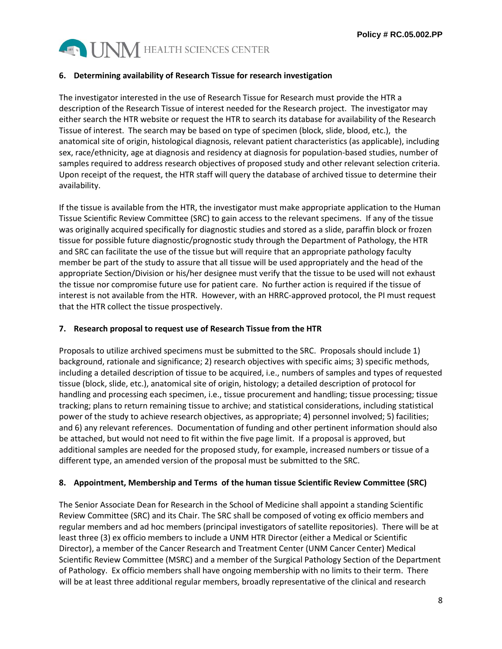

### **6. Determining availability of Research Tissue for research investigation**

The investigator interested in the use of Research Tissue for Research must provide the HTR a description of the Research Tissue of interest needed for the Research project. The investigator may either search the HTR website or request the HTR to search its database for availability of the Research Tissue of interest. The search may be based on type of specimen (block, slide, blood, etc.), the anatomical site of origin, histological diagnosis, relevant patient characteristics (as applicable), including sex, race/ethnicity, age at diagnosis and residency at diagnosis for population-based studies, number of samples required to address research objectives of proposed study and other relevant selection criteria. Upon receipt of the request, the HTR staff will query the database of archived tissue to determine their availability.

If the tissue is available from the HTR, the investigator must make appropriate application to the Human Tissue Scientific Review Committee (SRC) to gain access to the relevant specimens. If any of the tissue was originally acquired specifically for diagnostic studies and stored as a slide, paraffin block or frozen tissue for possible future diagnostic/prognostic study through the Department of Pathology, the HTR and SRC can facilitate the use of the tissue but will require that an appropriate pathology faculty member be part of the study to assure that all tissue will be used appropriately and the head of the appropriate Section/Division or his/her designee must verify that the tissue to be used will not exhaust the tissue nor compromise future use for patient care. No further action is required if the tissue of interest is not available from the HTR. However, with an HRRC-approved protocol, the PI must request that the HTR collect the tissue prospectively.

### **7. Research proposal to request use of Research Tissue from the HTR**

Proposals to utilize archived specimens must be submitted to the SRC. Proposals should include 1) background, rationale and significance; 2) research objectives with specific aims; 3) specific methods, including a detailed description of tissue to be acquired, i.e., numbers of samples and types of requested tissue (block, slide, etc.), anatomical site of origin, histology; a detailed description of protocol for handling and processing each specimen, i.e., tissue procurement and handling; tissue processing; tissue tracking; plans to return remaining tissue to archive; and statistical considerations, including statistical power of the study to achieve research objectives, as appropriate; 4) personnel involved; 5) facilities; and 6) any relevant references. Documentation of funding and other pertinent information should also be attached, but would not need to fit within the five page limit. If a proposal is approved, but additional samples are needed for the proposed study, for example, increased numbers or tissue of a different type, an amended version of the proposal must be submitted to the SRC.

### **8. Appointment, Membership and Terms of the human tissue Scientific Review Committee (SRC)**

The Senior Associate Dean for Research in the School of Medicine shall appoint a standing Scientific Review Committee (SRC) and its Chair. The SRC shall be composed of voting ex officio members and regular members and ad hoc members (principal investigators of satellite repositories). There will be at least three (3) ex officio members to include a UNM HTR Director (either a Medical or Scientific Director), a member of the Cancer Research and Treatment Center (UNM Cancer Center) Medical Scientific Review Committee (MSRC) and a member of the Surgical Pathology Section of the Department of Pathology. Ex officio members shall have ongoing membership with no limits to their term. There will be at least three additional regular members, broadly representative of the clinical and research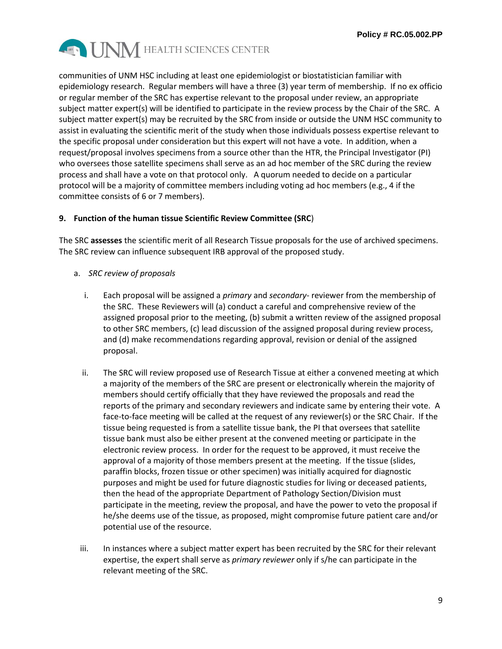

communities of UNM HSC including at least one epidemiologist or biostatistician familiar with epidemiology research. Regular members will have a three (3) year term of membership. If no ex officio or regular member of the SRC has expertise relevant to the proposal under review, an appropriate subject matter expert(s) will be identified to participate in the review process by the Chair of the SRC. A subject matter expert(s) may be recruited by the SRC from inside or outside the UNM HSC community to assist in evaluating the scientific merit of the study when those individuals possess expertise relevant to the specific proposal under consideration but this expert will not have a vote. In addition, when a request/proposal involves specimens from a source other than the HTR, the Principal Investigator (PI) who oversees those satellite specimens shall serve as an ad hoc member of the SRC during the review process and shall have a vote on that protocol only. A quorum needed to decide on a particular protocol will be a majority of committee members including voting ad hoc members (e.g., 4 if the committee consists of 6 or 7 members).

### **9. Function of the human tissue Scientific Review Committee (SRC**)

The SRC **assesses** the scientific merit of all Research Tissue proposals for the use of archived specimens. The SRC review can influence subsequent IRB approval of the proposed study.

- a. *SRC review of proposals* 
	- i. Each proposal will be assigned a *primary* and *secondary* reviewer from the membership of the SRC. These Reviewers will (a) conduct a careful and comprehensive review of the assigned proposal prior to the meeting, (b) submit a written review of the assigned proposal to other SRC members, (c) lead discussion of the assigned proposal during review process, and (d) make recommendations regarding approval, revision or denial of the assigned proposal.
	- ii. The SRC will review proposed use of Research Tissue at either a convened meeting at which a majority of the members of the SRC are present or electronically wherein the majority of members should certify officially that they have reviewed the proposals and read the reports of the primary and secondary reviewers and indicate same by entering their vote. A face-to-face meeting will be called at the request of any reviewer(s) or the SRC Chair. If the tissue being requested is from a satellite tissue bank, the PI that oversees that satellite tissue bank must also be either present at the convened meeting or participate in the electronic review process. In order for the request to be approved, it must receive the approval of a majority of those members present at the meeting. If the tissue (slides, paraffin blocks, frozen tissue or other specimen) was initially acquired for diagnostic purposes and might be used for future diagnostic studies for living or deceased patients, then the head of the appropriate Department of Pathology Section/Division must participate in the meeting, review the proposal, and have the power to veto the proposal if he/she deems use of the tissue, as proposed, might compromise future patient care and/or potential use of the resource.
	- iii. In instances where a subject matter expert has been recruited by the SRC for their relevant expertise, the expert shall serve as *primary reviewer* only if s/he can participate in the relevant meeting of the SRC.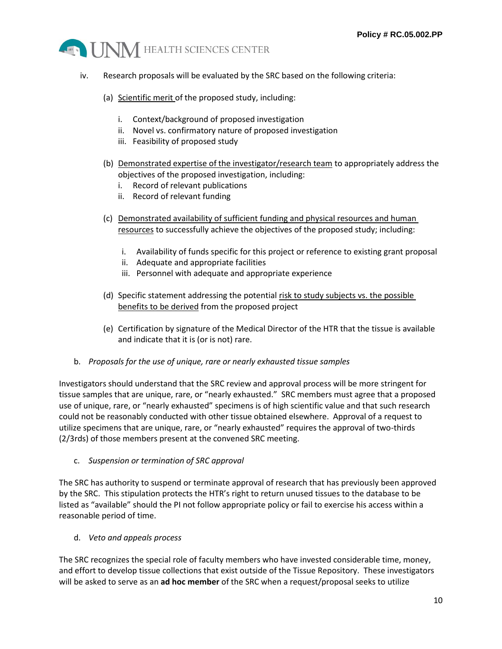

- iv. Research proposals will be evaluated by the SRC based on the following criteria:
	- (a) Scientific merit of the proposed study, including:
		- i. Context/background of proposed investigation
		- ii. Novel vs. confirmatory nature of proposed investigation
		- iii. Feasibility of proposed study
	- (b) Demonstrated expertise of the investigator/research team to appropriately address the objectives of the proposed investigation, including:
		- i. Record of relevant publications
		- ii. Record of relevant funding
	- (c) Demonstrated availability of sufficient funding and physical resources and human resources to successfully achieve the objectives of the proposed study; including:
		- i. Availability of funds specific for this project or reference to existing grant proposal
		- ii. Adequate and appropriate facilities
		- iii. Personnel with adequate and appropriate experience
	- (d) Specific statement addressing the potential risk to study subjects vs. the possible benefits to be derived from the proposed project
	- (e) Certification by signature of the Medical Director of the HTR that the tissue is available and indicate that it is (or is not) rare.
- b. *Proposals for the use of unique, rare or nearly exhausted tissue samples*

Investigators should understand that the SRC review and approval process will be more stringent for tissue samples that are unique, rare, or "nearly exhausted." SRC members must agree that a proposed use of unique, rare, or "nearly exhausted" specimens is of high scientific value and that such research could not be reasonably conducted with other tissue obtained elsewhere. Approval of a request to utilize specimens that are unique, rare, or "nearly exhausted" requires the approval of two-thirds (2/3rds) of those members present at the convened SRC meeting.

c. *Suspension or termination of SRC approval* 

The SRC has authority to suspend or terminate approval of research that has previously been approved by the SRC. This stipulation protects the HTR's right to return unused tissues to the database to be listed as "available" should the PI not follow appropriate policy or fail to exercise his access within a reasonable period of time.

d. *Veto and appeals process*

The SRC recognizes the special role of faculty members who have invested considerable time, money, and effort to develop tissue collections that exist outside of the Tissue Repository. These investigators will be asked to serve as an **ad hoc member** of the SRC when a request/proposal seeks to utilize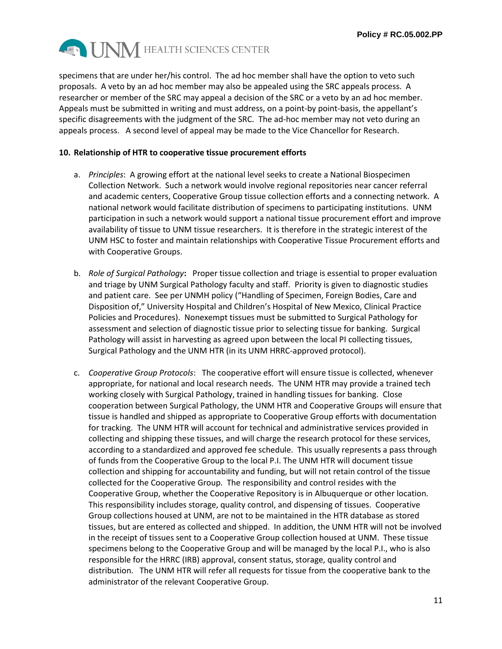

specimens that are under her/his control. The ad hoc member shall have the option to veto such proposals. A veto by an ad hoc member may also be appealed using the SRC appeals process. A researcher or member of the SRC may appeal a decision of the SRC or a veto by an ad hoc member. Appeals must be submitted in writing and must address, on a point-by point-basis, the appellant's specific disagreements with the judgment of the SRC. The ad-hoc member may not veto during an appeals process. A second level of appeal may be made to the Vice Chancellor for Research.

#### **10. Relationship of HTR to cooperative tissue procurement efforts**

- a. *Principles*: A growing effort at the national level seeks to create a National Biospecimen Collection Network. Such a network would involve regional repositories near cancer referral and academic centers, Cooperative Group tissue collection efforts and a connecting network. A national network would facilitate distribution of specimens to participating institutions. UNM participation in such a network would support a national tissue procurement effort and improve availability of tissue to UNM tissue researchers. It is therefore in the strategic interest of the UNM HSC to foster and maintain relationships with Cooperative Tissue Procurement efforts and with Cooperative Groups.
- b. *Role of Surgical Pathology***:** Proper tissue collection and triage is essential to proper evaluation and triage by UNM Surgical Pathology faculty and staff. Priority is given to diagnostic studies and patient care. See per UNMH policy ("Handling of Specimen, Foreign Bodies, Care and Disposition of," University Hospital and Children's Hospital of New Mexico, Clinical Practice Policies and Procedures). Nonexempt tissues must be submitted to Surgical Pathology for assessment and selection of diagnostic tissue prior to selecting tissue for banking. Surgical Pathology will assist in harvesting as agreed upon between the local PI collecting tissues, Surgical Pathology and the UNM HTR (in its UNM HRRC-approved protocol).
- c. *Cooperative Group Protocols*: The cooperative effort will ensure tissue is collected, whenever appropriate, for national and local research needs. The UNM HTR may provide a trained tech working closely with Surgical Pathology, trained in handling tissues for banking. Close cooperation between Surgical Pathology, the UNM HTR and Cooperative Groups will ensure that tissue is handled and shipped as appropriate to Cooperative Group efforts with documentation for tracking. The UNM HTR will account for technical and administrative services provided in collecting and shipping these tissues, and will charge the research protocol for these services, according to a standardized and approved fee schedule. This usually represents a pass through of funds from the Cooperative Group to the local P.I. The UNM HTR will document tissue collection and shipping for accountability and funding, but will not retain control of the tissue collected for the Cooperative Group. The responsibility and control resides with the Cooperative Group, whether the Cooperative Repository is in Albuquerque or other location. This responsibility includes storage, quality control, and dispensing of tissues. Cooperative Group collections housed at UNM, are not to be maintained in the HTR database as stored tissues, but are entered as collected and shipped. In addition, the UNM HTR will not be involved in the receipt of tissues sent to a Cooperative Group collection housed at UNM. These tissue specimens belong to the Cooperative Group and will be managed by the local P.I., who is also responsible for the HRRC (IRB) approval, consent status, storage, quality control and distribution. The UNM HTR will refer all requests for tissue from the cooperative bank to the administrator of the relevant Cooperative Group.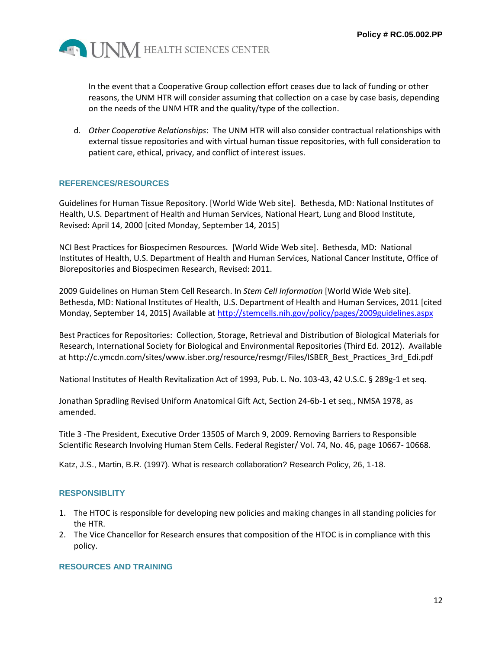

In the event that a Cooperative Group collection effort ceases due to lack of funding or other reasons, the UNM HTR will consider assuming that collection on a case by case basis, depending on the needs of the UNM HTR and the quality/type of the collection.

d. *Other Cooperative Relationships*: The UNM HTR will also consider contractual relationships with external tissue repositories and with virtual human tissue repositories, with full consideration to patient care, ethical, privacy, and conflict of interest issues.

### **REFERENCES/RESOURCES**

Guidelines for Human Tissue Repository. [World Wide Web site]. Bethesda, MD: National Institutes of Health, U.S. Department of Health and Human Services, National Heart, Lung and Blood Institute, Revised: April 14, 2000 [cited Monday, September 14, 2015]

NCI Best Practices for Biospecimen Resources. [World Wide Web site]. Bethesda, MD: National Institutes of Health, U.S. Department of Health and Human Services, National Cancer Institute, Office of Biorepositories and Biospecimen Research, Revised: 2011.

2009 Guidelines on Human Stem Cell Research. In *Stem Cell Information* [World Wide Web site]. Bethesda, MD: National Institutes of Health, U.S. Department of Health and Human Services, 2011 [cited Monday, September 14, 2015] Available at<http://stemcells.nih.gov/policy/pages/2009guidelines.aspx>

Best Practices for Repositories: Collection, Storage, Retrieval and Distribution of Biological Materials for Research, International Society for Biological and Environmental Repositories (Third Ed. 2012). Available at http://c.ymcdn.com/sites/www.isber.org/resource/resmgr/Files/ISBER\_Best\_Practices\_3rd\_Edi.pdf

National Institutes of Health Revitalization Act of 1993, Pub. L. No. 103-43, 42 U.S.C. § 289g-1 et seq.

Jonathan Spradling Revised Uniform Anatomical Gift Act, Section 24-6b-1 et seq., NMSA 1978, as amended.

Title 3 -The President, Executive Order 13505 of March 9, 2009. Removing Barriers to Responsible Scientific Research Involving Human Stem Cells. Federal Register/ Vol. 74, No. 46, page 10667- 10668.

Katz, J.S., Martin, B.R. (1997). What is research collaboration? Research Policy, 26, 1-18.

#### **RESPONSIBLITY**

- 1. The HTOC is responsible for developing new policies and making changes in all standing policies for the HTR.
- 2. The Vice Chancellor for Research ensures that composition of the HTOC is in compliance with this policy.

#### **RESOURCES AND TRAINING**